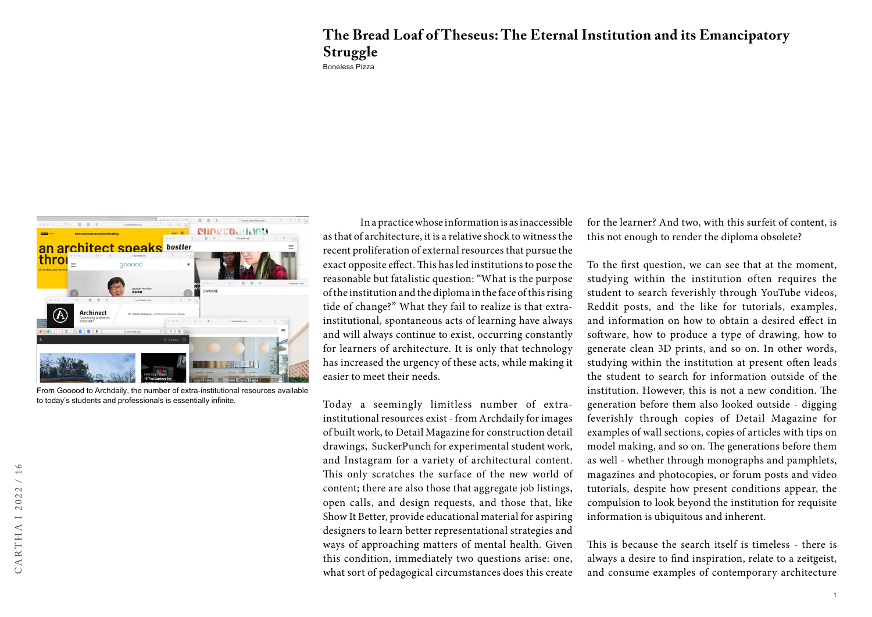## **The Bread Loaf of Theseus: The Eternal Institution and its Emancipatory Struggle**

Boneless Pizza



From Gooood to Archdaily, the number of extra-institutional resources available to today's students and professionals is essentially infinite.

In a practice whose information is as inaccessible as that of architecture, it is a relative shock to witness the recent proliferation of external resources that pursue the exact opposite effect. This has led institutions to pose the reasonable but fatalistic question: "What is the purpose of the institution and the diploma in the face of this rising tide of change?" What they fail to realize is that extrainstitutional, spontaneous acts of learning have always and will always continue to exist, occurring constantly for learners of architecture. It is only that technology has increased the urgency of these acts, while making it easier to meet their needs.

Today a seemingly limitless number of extrainstitutional resources exist - from Archdaily for images of built work, to Detail Magazine for construction detail drawings, SuckerPunch for experimental student work, and Instagram for a variety of architectural content. This only scratches the surface of the new world of content; there are also those that aggregate job listings, open calls, and design requests, and those that, like Show It Better, provide educational material for aspiring designers to learn better representational strategies and ways of approaching matters of mental health. Given this condition, immediately two questions arise: one, what sort of pedagogical circumstances does this create for the learner? And two, with this surfeit of content, is this not enough to render the diploma obsolete?

To the first question, we can see that at the moment, studying within the institution often requires the student to search feverishly through YouTube videos, Reddit posts, and the like for tutorials, examples, and information on how to obtain a desired effect in software, how to produce a type of drawing, how to generate clean 3D prints, and so on. In other words, studying within the institution at present often leads the student to search for information outside of the institution. However, this is not a new condition. The generation before them also looked outside - digging feverishly through copies of Detail Magazine for examples of wall sections, copies of articles with tips on model making, and so on. The generations before them as well - whether through monographs and pamphlets, magazines and photocopies, or forum posts and video tutorials, despite how present conditions appear, the compulsion to look beyond the institution for requisite information is ubiquitous and inherent.

This is because the search itself is timeless - there is always a desire to find inspiration, relate to a zeitgeist, and consume examples of contemporary architecture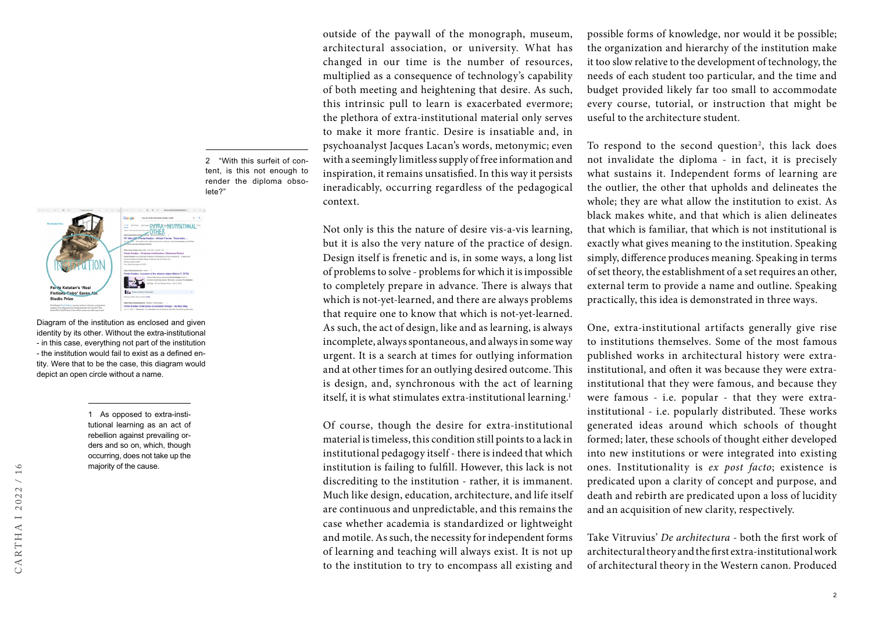2 "With this surfeit of content, is this not enough to render the diploma obsolete?"



Diagram of the institution as enclosed and given identity by its other. Without the extra-institutional - in this case, everything not part of the institution - the institution would fail to exist as a defined entity. Were that to be the case, this diagram would depict an open circle without a name.

> 1 As opposed to extra-institutional learning as an act of rebellion against prevailing orders and so on, which, though occurring, does not take up the majority of the cause.

outside of the paywall of the monograph, museum, architectural association, or university. What has changed in our time is the number of resources, multiplied as a consequence of technology's capability of both meeting and heightening that desire. As such, this intrinsic pull to learn is exacerbated evermore; the plethora of extra-institutional material only serves to make it more frantic. Desire is insatiable and, in psychoanalyst Jacques Lacan's words, metonymic; even with a seemingly limitless supply of free information and inspiration, it remains unsatisfied. In this way it persists ineradicably, occurring regardless of the pedagogical context.

Not only is this the nature of desire vis-a-vis learning, but it is also the very nature of the practice of design. Design itself is frenetic and is, in some ways, a long list of problems to solve - problems for which it is impossible to completely prepare in advance. There is always that which is not-yet-learned, and there are always problems that require one to know that which is not-yet-learned. As such, the act of design, like and as learning, is always incomplete, always spontaneous, and always in some way urgent. It is a search at times for outlying information and at other times for an outlying desired outcome. This is design, and, synchronous with the act of learning itself, it is what stimulates extra-institutional learning.<sup>1</sup>

Of course, though the desire for extra-institutional material is timeless, this condition still points to a lack in institutional pedagogy itself - there is indeed that which institution is failing to fulfill. However, this lack is not discrediting to the institution - rather, it is immanent. Much like design, education, architecture, and life itself are continuous and unpredictable, and this remains the case whether academia is standardized or lightweight and motile. As such, the necessity for independent forms of learning and teaching will always exist. It is not up to the institution to try to encompass all existing and

possible forms of knowledge, nor would it be possible; the organization and hierarchy of the institution make it too slow relative to the development of technology, the needs of each student too particular, and the time and budget provided likely far too small to accommodate every course, tutorial, or instruction that might be useful to the architecture student.

To respond to the second question<sup>2</sup>, this lack does not invalidate the diploma - in fact, it is precisely what sustains it. Independent forms of learning are the outlier, the other that upholds and delineates the whole; they are what allow the institution to exist. As black makes white, and that which is alien delineates that which is familiar, that which is not institutional is exactly what gives meaning to the institution. Speaking simply, difference produces meaning. Speaking in terms of set theory, the establishment of a set requires an other, external term to provide a name and outline. Speaking practically, this idea is demonstrated in three ways.

One, extra-institutional artifacts generally give rise to institutions themselves. Some of the most famous published works in architectural history were extrainstitutional, and often it was because they were extrainstitutional that they were famous, and because they were famous - i.e. popular - that they were extrainstitutional - i.e. popularly distributed. These works generated ideas around which schools of thought formed; later, these schools of thought either developed into new institutions or were integrated into existing ones. Institutionality is *ex post facto*; existence is predicated upon a clarity of concept and purpose, and death and rebirth are predicated upon a loss of lucidity and an acquisition of new clarity, respectively.

Take Vitruvius' *De architectura* - both the first work of architectural theory and the first extra-institutional work of architectural theory in the Western canon. Produced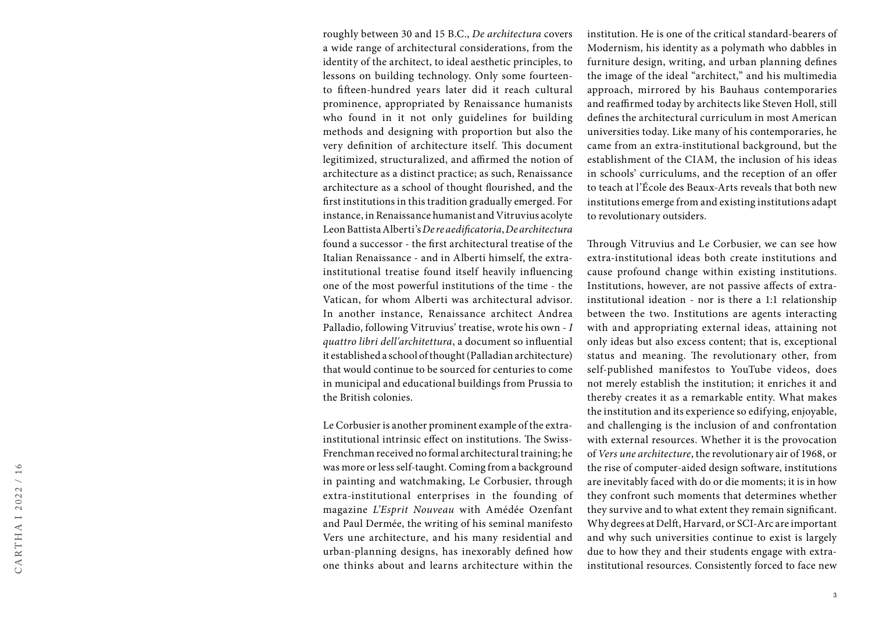roughly between 30 and 15 B.C., *De architectura* covers a wide range of architectural considerations, from the identity of the architect, to ideal aesthetic principles, to lessons on building technology. Only some fourteento fifteen-hundred years later did it reach cultural prominence, appropriated by Renaissance humanists who found in it not only guidelines for building methods and designing with proportion but also the very definition of architecture itself. This document legitimized, structuralized, and affirmed the notion of architecture as a distinct practice; as such, Renaissance architecture as a school of thought flourished, and the first institutions in this tradition gradually emerged. For instance, in Renaissance humanist and Vitruvius acolyte Leon Battista Alberti's *De re aedificatoria*, *De architectura* found a successor - the first architectural treatise of the Italian Renaissance - and in Alberti himself, the extrainstitutional treatise found itself heavily influencing one of the most powerful institutions of the time - the Vatican, for whom Alberti was architectural advisor. In another instance, Renaissance architect Andrea Palladio, following Vitruvius' treatise, wrote his own - *I quattro libri dell'architettura*, a document so influential it established a school of thought (Palladian architecture) that would continue to be sourced for centuries to come in municipal and educational buildings from Prussia to the British colonies.

Le Corbusier is another prominent example of the extrainstitutional intrinsic effect on institutions. The Swiss-Frenchman received no formal architectural training; he was more or less self-taught. Coming from a background in painting and watchmaking, Le Corbusier, through extra-institutional enterprises in the founding of magazine *L'Esprit Nouveau* with Amédée Ozenfant and Paul Dermée, the writing of his seminal manifesto Vers une architecture, and his many residential and urban-planning designs, has inexorably defined how one thinks about and learns architecture within the

institution. He is one of the critical standard-bearers of Modernism, his identity as a polymath who dabbles in furniture design, writing, and urban planning defines the image of the ideal "architect," and his multimedia approach, mirrored by his Bauhaus contemporaries and reaffirmed today by architects like Steven Holl, still defines the architectural curriculum in most American universities today. Like many of his contemporaries, he came from an extra-institutional background, but the establishment of the CIAM, the inclusion of his ideas in schools' curriculums, and the reception of an offer to teach at l'École des Beaux-Arts reveals that both new institutions emerge from and existing institutions adapt to revolutionary outsiders.

Through Vitruvius and Le Corbusier, we can see how extra-institutional ideas both create institutions and cause profound change within existing institutions. Institutions, however, are not passive affects of extrainstitutional ideation - nor is there a 1:1 relationship between the two. Institutions are agents interacting with and appropriating external ideas, attaining not only ideas but also excess content; that is, exceptional status and meaning. The revolutionary other, from self-published manifestos to YouTube videos, does not merely establish the institution; it enriches it and thereby creates it as a remarkable entity. What makes the institution and its experience so edifying, enjoyable, and challenging is the inclusion of and confrontation with external resources. Whether it is the provocation of *Vers une architecture*, the revolutionary air of 1968, or the rise of computer-aided design software, institutions are inevitably faced with do or die moments; it is in how they confront such moments that determines whether they survive and to what extent they remain significant. Why degrees at Delft, Harvard, or SCI-Arc are important and why such universities continue to exist is largely due to how they and their students engage with extrainstitutional resources. Consistently forced to face new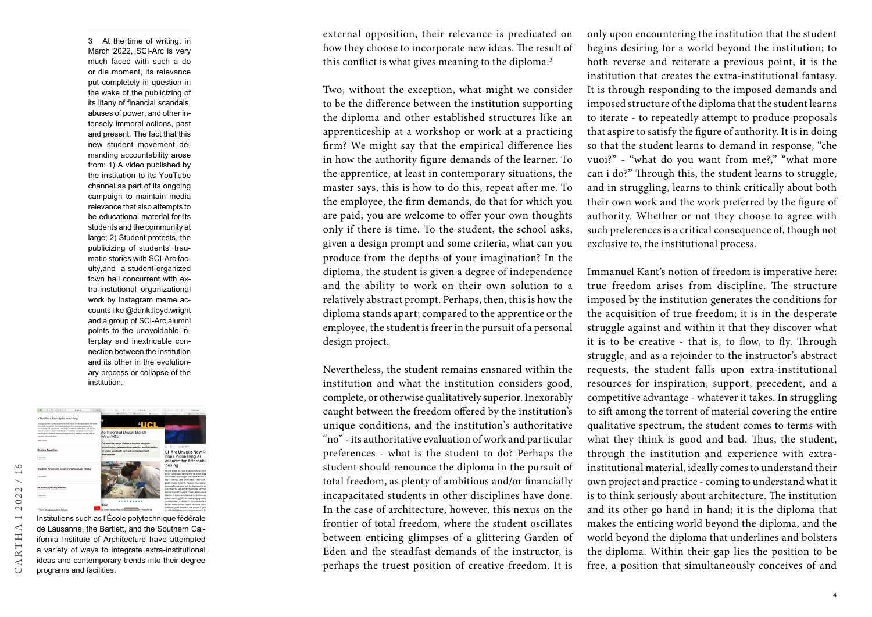3 At the time of writing, in March 2022, SCI-Arc is very much faced with such a do or die moment, its relevance put completely in question in the wake of the publicizing of its litany of financial scandals, abuses of power, and other intensely immoral actions, past and present. The fact that this new student movement demanding accountability arose from: 1) A video published by the institution to its YouTube channel as part of its ongoing campaign to maintain media relevance that also attempts to be educational material for its students and the community at large; 2) Student protests, the publicizing of students' traumatic stories with SCI-Arc faculty,and a student-organized town hall concurrent with extra-instutional organizational work by Instagram meme accounts like @dank.lloyd.wright and a group of SCI-Arc alumni points to the unavoidable interplay and inextricable connection between the institution and its other in the evolutionary process or collapse of the institution.



Institutions such as l'École polytechnique fédérale de Lausanne, the Bartlett, and the Southern California Institute of Architecture have attempted a variety of ways to integrate extra-institutional ideas and contemporary trends into their degree

CI-Arc Unveils New R<br>nnex Pioneering Al<br>esearch for Affordabl

ousing

external opposition, their relevance is predicated on how they choose to incorporate new ideas. The result of this conflict is what gives meaning to the diploma.<sup>3</sup>

Two, without the exception, what might we consider to be the difference between the institution supporting the diploma and other established structures like an apprenticeship at a workshop or work at a practicing firm? We might say that the empirical difference lies in how the authority figure demands of the learner. To the apprentice, at least in contemporary situations, the master says, this is how to do this, repeat after me. To the employee, the firm demands, do that for which you are paid; you are welcome to offer your own thoughts only if there is time. To the student, the school asks, given a design prompt and some criteria, what can you produce from the depths of your imagination? In the diploma, the student is given a degree of independence and the ability to work on their own solution to a relatively abstract prompt. Perhaps, then, this is how the diploma stands apart; compared to the apprentice or the employee, the student is freer in the pursuit of a personal design project.

Nevertheless, the student remains ensnared within the institution and what the institution considers good, complete, or otherwise qualitatively superior. Inexorably caught between the freedom offered by the institution's unique conditions, and the institution's authoritative "no" - its authoritative evaluation of work and particular preferences - what is the student to do? Perhaps the student should renounce the diploma in the pursuit of total freedom, as plenty of ambitious and/or financially incapacitated students in other disciplines have done. In the case of architecture, however, this nexus on the frontier of total freedom, where the student oscillates between enticing glimpses of a glittering Garden of Eden and the steadfast demands of the instructor, is perhaps the truest position of creative freedom. It is

only upon encountering the institution that the student begins desiring for a world beyond the institution; to both reverse and reiterate a previous point, it is the institution that creates the extra-institutional fantasy. It is through responding to the imposed demands and imposed structure of the diploma that the student learns to iterate - to repeatedly attempt to produce proposals that aspire to satisfy the figure of authority. It is in doing so that the student learns to demand in response, "che vuoi?" - "what do you want from me?," "what more can i do?" Through this, the student learns to struggle, and in struggling, learns to think critically about both their own work and the work preferred by the figure of authority. Whether or not they choose to agree with such preferences is a critical consequence of, though not exclusive to, the institutional process.

Immanuel Kant's notion of freedom is imperative here: true freedom arises from discipline. The structure imposed by the institution generates the conditions for the acquisition of true freedom; it is in the desperate struggle against and within it that they discover what it is to be creative - that is, to flow, to fly. Through struggle, and as a rejoinder to the instructor's abstract requests, the student falls upon extra-institutional resources for inspiration, support, precedent, and a competitive advantage - whatever it takes. In struggling to sift among the torrent of material covering the entire qualitative spectrum, the student comes to terms with what they think is good and bad. Thus, the student, through the institution and experience with extrainstitutional material, ideally comes to understand their own project and practice - coming to understand what it is to think seriously about architecture. The institution and its other go hand in hand; it is the diploma that makes the enticing world beyond the diploma, and the world beyond the diploma that underlines and bolsters the diploma. Within their gap lies the position to be free, a position that simultaneously conceives of and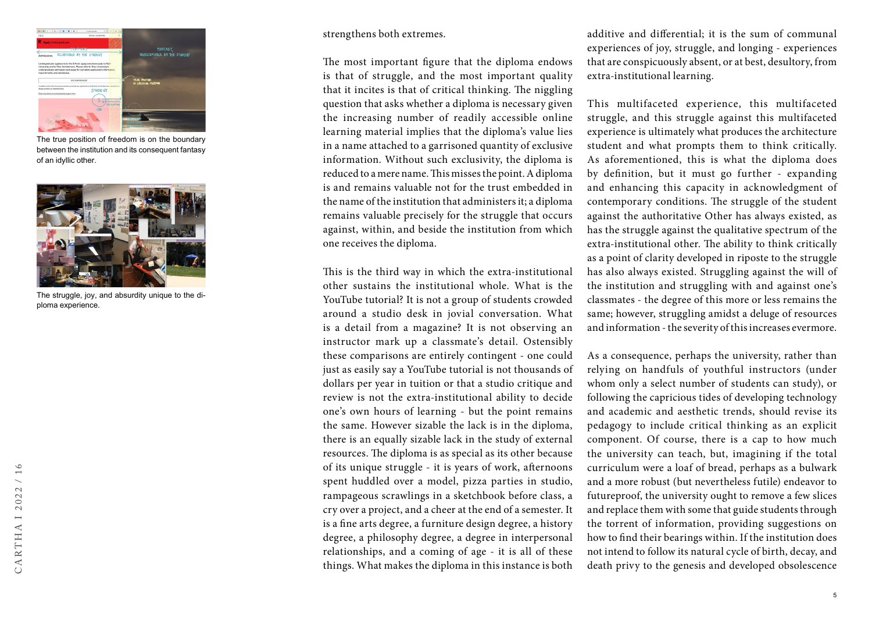

The true position of freedom is on the boundary between the institution and its consequent fantasy of an idyllic other.



The struggle, joy, and absurdity unique to the diploma experience.

strengthens both extremes.

The most important figure that the diploma endows is that of struggle, and the most important quality that it incites is that of critical thinking. The niggling question that asks whether a diploma is necessary given the increasing number of readily accessible online learning material implies that the diploma's value lies in a name attached to a garrisoned quantity of exclusive information. Without such exclusivity, the diploma is reduced to a mere name. This misses the point. A diploma is and remains valuable not for the trust embedded in the name of the institution that administers it; a diploma remains valuable precisely for the struggle that occurs against, within, and beside the institution from which one receives the diploma.

This is the third way in which the extra-institutional other sustains the institutional whole. What is the YouTube tutorial? It is not a group of students crowded around a studio desk in jovial conversation. What is a detail from a magazine? It is not observing an instructor mark up a classmate's detail. Ostensibly these comparisons are entirely contingent - one could just as easily say a YouTube tutorial is not thousands of dollars per year in tuition or that a studio critique and review is not the extra-institutional ability to decide one's own hours of learning - but the point remains the same. However sizable the lack is in the diploma, there is an equally sizable lack in the study of external resources. The diploma is as special as its other because of its unique struggle - it is years of work, afternoons spent huddled over a model, pizza parties in studio, rampageous scrawlings in a sketchbook before class, a cry over a project, and a cheer at the end of a semester. It is a fine arts degree, a furniture design degree, a history degree, a philosophy degree, a degree in interpersonal relationships, and a coming of age - it is all of these things. What makes the diploma in this instance is both

additive and differential; it is the sum of communal experiences of joy, struggle, and longing - experiences that are conspicuously absent, or at best, desultory, from extra-institutional learning.

This multifaceted experience, this multifaceted struggle, and this struggle against this multifaceted experience is ultimately what produces the architecture student and what prompts them to think critically. As aforementioned, this is what the diploma does by definition, but it must go further - expanding and enhancing this capacity in acknowledgment of contemporary conditions. The struggle of the student against the authoritative Other has always existed, as has the struggle against the qualitative spectrum of the extra-institutional other. The ability to think critically as a point of clarity developed in riposte to the struggle has also always existed. Struggling against the will of the institution and struggling with and against one's classmates - the degree of this more or less remains the same; however, struggling amidst a deluge of resources and information - the severity of this increases evermore.

As a consequence, perhaps the university, rather than relying on handfuls of youthful instructors (under whom only a select number of students can study), or following the capricious tides of developing technology and academic and aesthetic trends, should revise its pedagogy to include critical thinking as an explicit component. Of course, there is a cap to how much the university can teach, but, imagining if the total curriculum were a loaf of bread, perhaps as a bulwark and a more robust (but nevertheless futile) endeavor to futureproof, the university ought to remove a few slices and replace them with some that guide students through the torrent of information, providing suggestions on how to find their bearings within. If the institution does not intend to follow its natural cycle of birth, decay, and death privy to the genesis and developed obsolescence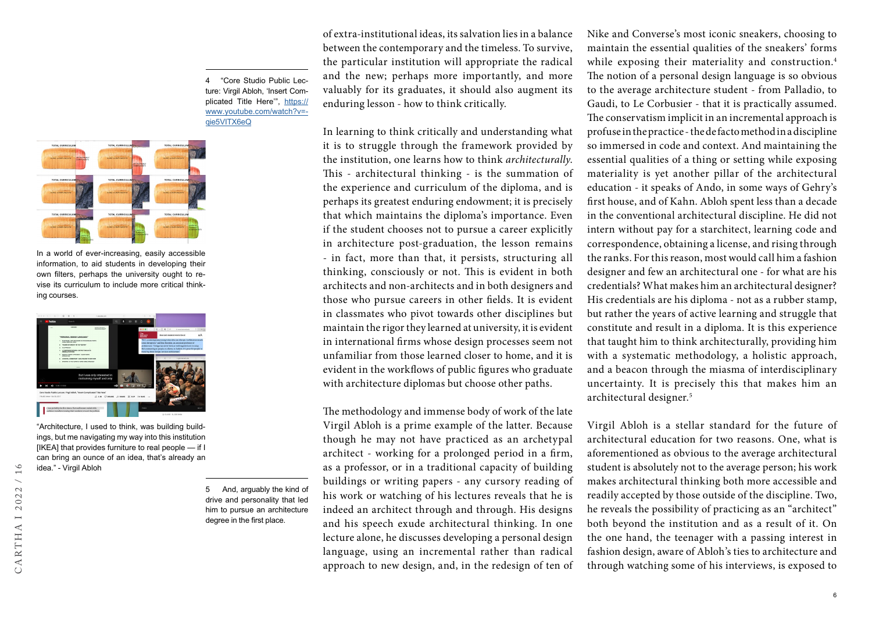4 "Core Studio Public Lecture: Virgil Abloh, 'Insert Complicated Title Here'", [https://](https://www.youtube.com/watch?v=qie5VITX6eQ) [www.youtube.com/watch?v=](https://www.youtube.com/watch?v=qie5VITX6eQ) [qie5VITX6eQ](https://www.youtube.com/watch?v=qie5VITX6eQ)



In a world of ever-increasing, easily accessible information, to aid students in developing their own filters, perhaps the university ought to revise its curriculum to include more critical thinking courses.



"Architecture, I used to think, was building buildings, but me navigating my way into this institution [IKEA] that provides furniture to real people — if I can bring an ounce of an idea, that's already an idea." - Virgil Abloh

5 And, arguably the kind of drive and personality that led him to pursue an architecture degree in the first place.

of extra-institutional ideas, its salvation lies in a balance between the contemporary and the timeless. To survive, the particular institution will appropriate the radical and the new; perhaps more importantly, and more valuably for its graduates, it should also augment its enduring lesson - how to think critically.

In learning to think critically and understanding what it is to struggle through the framework provided by the institution, one learns how to think *architecturally*. This - architectural thinking - is the summation of the experience and curriculum of the diploma, and is perhaps its greatest enduring endowment; it is precisely that which maintains the diploma's importance. Even if the student chooses not to pursue a career explicitly in architecture post-graduation, the lesson remains - in fact, more than that, it persists, structuring all thinking, consciously or not. This is evident in both architects and non-architects and in both designers and those who pursue careers in other fields. It is evident in classmates who pivot towards other disciplines but maintain the rigor they learned at university, it is evident in international firms whose design processes seem not unfamiliar from those learned closer to home, and it is evident in the workflows of public figures who graduate with architecture diplomas but choose other paths.

The methodology and immense body of work of the late Virgil Abloh is a prime example of the latter. Because though he may not have practiced as an archetypal architect - working for a prolonged period in a firm, as a professor, or in a traditional capacity of building buildings or writing papers - any cursory reading of his work or watching of his lectures reveals that he is indeed an architect through and through. His designs and his speech exude architectural thinking. In one lecture alone, he discusses developing a personal design language, using an incremental rather than radical approach to new design, and, in the redesign of ten of

Nike and Converse's most iconic sneakers, choosing to maintain the essential qualities of the sneakers' forms while exposing their materiality and construction.<sup>4</sup> The notion of a personal design language is so obvious to the average architecture student - from Palladio, to Gaudi, to Le Corbusier - that it is practically assumed. The conservatism implicit in an incremental approach is profuse in the practice - the de facto method in a discipline so immersed in code and context. And maintaining the essential qualities of a thing or setting while exposing materiality is yet another pillar of the architectural education - it speaks of Ando, in some ways of Gehry's first house, and of Kahn. Abloh spent less than a decade in the conventional architectural discipline. He did not intern without pay for a starchitect, learning code and correspondence, obtaining a license, and rising through the ranks. For this reason, most would call him a fashion designer and few an architectural one - for what are his credentials? What makes him an architectural designer? His credentials are his diploma - not as a rubber stamp, but rather the years of active learning and struggle that constitute and result in a diploma. It is this experience that taught him to think architecturally, providing him with a systematic methodology, a holistic approach, and a beacon through the miasma of interdisciplinary uncertainty. It is precisely this that makes him an architectural designer.<sup>5</sup>

Virgil Abloh is a stellar standard for the future of architectural education for two reasons. One, what is aforementioned as obvious to the average architectural student is absolutely not to the average person; his work makes architectural thinking both more accessible and readily accepted by those outside of the discipline. Two, he reveals the possibility of practicing as an "architect" both beyond the institution and as a result of it. On the one hand, the teenager with a passing interest in fashion design, aware of Abloh's ties to architecture and through watching some of his interviews, is exposed to